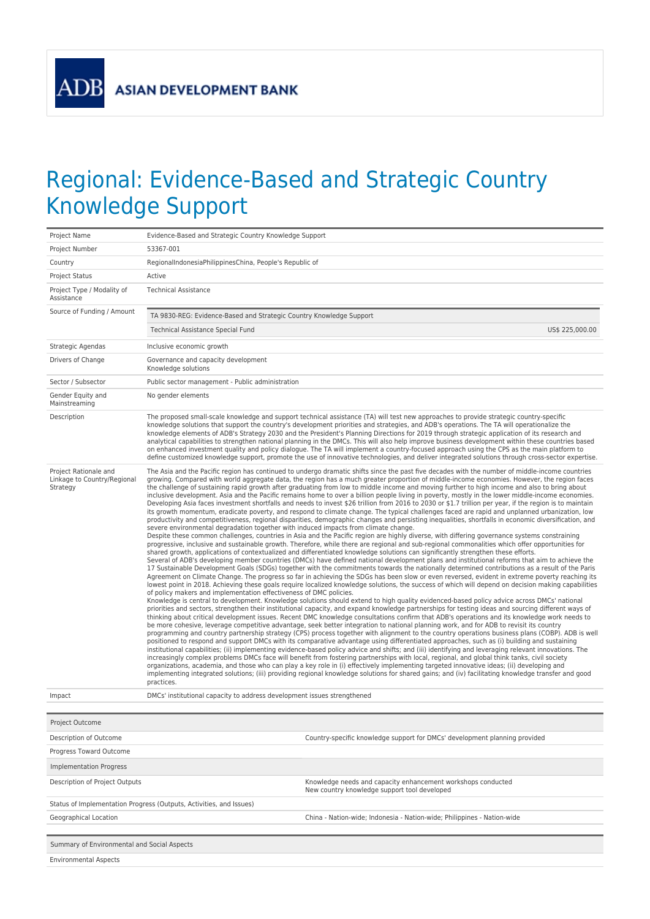**ADB** 

## Regional: Evidence-Based and Strategic Country Knowledge Support

| Project Name                                                     | Evidence-Based and Strategic Country Knowledge Support                                                                                                                                                                                                                                                                                                                                                                                                                                                                                                                                                                                                                                                                                                                                                                                                                                                                                                                                                                                                                                                                                                                                                                                                                                                                                                                                                                                                                                                                                                                                                                                                                                                                                                                                                                                                                                                                                                                                                                                                                                                                                                                                                                                                                                                                                                                                                                                                                                                                                                                                                                                                                                                                                                                                                                                                                                                                                                                                                                                                                                                                                                                                                                                                                                                                                                                                                                                                                                                                                                                                                                                                                                                                                                                                                                |  |  |  |  |  |
|------------------------------------------------------------------|-----------------------------------------------------------------------------------------------------------------------------------------------------------------------------------------------------------------------------------------------------------------------------------------------------------------------------------------------------------------------------------------------------------------------------------------------------------------------------------------------------------------------------------------------------------------------------------------------------------------------------------------------------------------------------------------------------------------------------------------------------------------------------------------------------------------------------------------------------------------------------------------------------------------------------------------------------------------------------------------------------------------------------------------------------------------------------------------------------------------------------------------------------------------------------------------------------------------------------------------------------------------------------------------------------------------------------------------------------------------------------------------------------------------------------------------------------------------------------------------------------------------------------------------------------------------------------------------------------------------------------------------------------------------------------------------------------------------------------------------------------------------------------------------------------------------------------------------------------------------------------------------------------------------------------------------------------------------------------------------------------------------------------------------------------------------------------------------------------------------------------------------------------------------------------------------------------------------------------------------------------------------------------------------------------------------------------------------------------------------------------------------------------------------------------------------------------------------------------------------------------------------------------------------------------------------------------------------------------------------------------------------------------------------------------------------------------------------------------------------------------------------------------------------------------------------------------------------------------------------------------------------------------------------------------------------------------------------------------------------------------------------------------------------------------------------------------------------------------------------------------------------------------------------------------------------------------------------------------------------------------------------------------------------------------------------------------------------------------------------------------------------------------------------------------------------------------------------------------------------------------------------------------------------------------------------------------------------------------------------------------------------------------------------------------------------------------------------------------------------------------------------------------------------------------------------------|--|--|--|--|--|
| Project Number                                                   | 53367-001                                                                                                                                                                                                                                                                                                                                                                                                                                                                                                                                                                                                                                                                                                                                                                                                                                                                                                                                                                                                                                                                                                                                                                                                                                                                                                                                                                                                                                                                                                                                                                                                                                                                                                                                                                                                                                                                                                                                                                                                                                                                                                                                                                                                                                                                                                                                                                                                                                                                                                                                                                                                                                                                                                                                                                                                                                                                                                                                                                                                                                                                                                                                                                                                                                                                                                                                                                                                                                                                                                                                                                                                                                                                                                                                                                                                             |  |  |  |  |  |
| Country                                                          | RegionalIndonesiaPhilippinesChina, People's Republic of                                                                                                                                                                                                                                                                                                                                                                                                                                                                                                                                                                                                                                                                                                                                                                                                                                                                                                                                                                                                                                                                                                                                                                                                                                                                                                                                                                                                                                                                                                                                                                                                                                                                                                                                                                                                                                                                                                                                                                                                                                                                                                                                                                                                                                                                                                                                                                                                                                                                                                                                                                                                                                                                                                                                                                                                                                                                                                                                                                                                                                                                                                                                                                                                                                                                                                                                                                                                                                                                                                                                                                                                                                                                                                                                                               |  |  |  |  |  |
| <b>Project Status</b>                                            | Active                                                                                                                                                                                                                                                                                                                                                                                                                                                                                                                                                                                                                                                                                                                                                                                                                                                                                                                                                                                                                                                                                                                                                                                                                                                                                                                                                                                                                                                                                                                                                                                                                                                                                                                                                                                                                                                                                                                                                                                                                                                                                                                                                                                                                                                                                                                                                                                                                                                                                                                                                                                                                                                                                                                                                                                                                                                                                                                                                                                                                                                                                                                                                                                                                                                                                                                                                                                                                                                                                                                                                                                                                                                                                                                                                                                                                |  |  |  |  |  |
| Project Type / Modality of<br>Assistance                         | <b>Technical Assistance</b>                                                                                                                                                                                                                                                                                                                                                                                                                                                                                                                                                                                                                                                                                                                                                                                                                                                                                                                                                                                                                                                                                                                                                                                                                                                                                                                                                                                                                                                                                                                                                                                                                                                                                                                                                                                                                                                                                                                                                                                                                                                                                                                                                                                                                                                                                                                                                                                                                                                                                                                                                                                                                                                                                                                                                                                                                                                                                                                                                                                                                                                                                                                                                                                                                                                                                                                                                                                                                                                                                                                                                                                                                                                                                                                                                                                           |  |  |  |  |  |
| Source of Funding / Amount                                       | TA 9830-REG: Evidence-Based and Strategic Country Knowledge Support                                                                                                                                                                                                                                                                                                                                                                                                                                                                                                                                                                                                                                                                                                                                                                                                                                                                                                                                                                                                                                                                                                                                                                                                                                                                                                                                                                                                                                                                                                                                                                                                                                                                                                                                                                                                                                                                                                                                                                                                                                                                                                                                                                                                                                                                                                                                                                                                                                                                                                                                                                                                                                                                                                                                                                                                                                                                                                                                                                                                                                                                                                                                                                                                                                                                                                                                                                                                                                                                                                                                                                                                                                                                                                                                                   |  |  |  |  |  |
|                                                                  | US\$ 225,000.00<br>Technical Assistance Special Fund                                                                                                                                                                                                                                                                                                                                                                                                                                                                                                                                                                                                                                                                                                                                                                                                                                                                                                                                                                                                                                                                                                                                                                                                                                                                                                                                                                                                                                                                                                                                                                                                                                                                                                                                                                                                                                                                                                                                                                                                                                                                                                                                                                                                                                                                                                                                                                                                                                                                                                                                                                                                                                                                                                                                                                                                                                                                                                                                                                                                                                                                                                                                                                                                                                                                                                                                                                                                                                                                                                                                                                                                                                                                                                                                                                  |  |  |  |  |  |
| Strategic Agendas                                                | Inclusive economic growth                                                                                                                                                                                                                                                                                                                                                                                                                                                                                                                                                                                                                                                                                                                                                                                                                                                                                                                                                                                                                                                                                                                                                                                                                                                                                                                                                                                                                                                                                                                                                                                                                                                                                                                                                                                                                                                                                                                                                                                                                                                                                                                                                                                                                                                                                                                                                                                                                                                                                                                                                                                                                                                                                                                                                                                                                                                                                                                                                                                                                                                                                                                                                                                                                                                                                                                                                                                                                                                                                                                                                                                                                                                                                                                                                                                             |  |  |  |  |  |
| Drivers of Change                                                | Governance and capacity development<br>Knowledge solutions                                                                                                                                                                                                                                                                                                                                                                                                                                                                                                                                                                                                                                                                                                                                                                                                                                                                                                                                                                                                                                                                                                                                                                                                                                                                                                                                                                                                                                                                                                                                                                                                                                                                                                                                                                                                                                                                                                                                                                                                                                                                                                                                                                                                                                                                                                                                                                                                                                                                                                                                                                                                                                                                                                                                                                                                                                                                                                                                                                                                                                                                                                                                                                                                                                                                                                                                                                                                                                                                                                                                                                                                                                                                                                                                                            |  |  |  |  |  |
| Sector / Subsector                                               | Public sector management - Public administration                                                                                                                                                                                                                                                                                                                                                                                                                                                                                                                                                                                                                                                                                                                                                                                                                                                                                                                                                                                                                                                                                                                                                                                                                                                                                                                                                                                                                                                                                                                                                                                                                                                                                                                                                                                                                                                                                                                                                                                                                                                                                                                                                                                                                                                                                                                                                                                                                                                                                                                                                                                                                                                                                                                                                                                                                                                                                                                                                                                                                                                                                                                                                                                                                                                                                                                                                                                                                                                                                                                                                                                                                                                                                                                                                                      |  |  |  |  |  |
| Gender Equity and<br>Mainstreaming                               | No gender elements                                                                                                                                                                                                                                                                                                                                                                                                                                                                                                                                                                                                                                                                                                                                                                                                                                                                                                                                                                                                                                                                                                                                                                                                                                                                                                                                                                                                                                                                                                                                                                                                                                                                                                                                                                                                                                                                                                                                                                                                                                                                                                                                                                                                                                                                                                                                                                                                                                                                                                                                                                                                                                                                                                                                                                                                                                                                                                                                                                                                                                                                                                                                                                                                                                                                                                                                                                                                                                                                                                                                                                                                                                                                                                                                                                                                    |  |  |  |  |  |
| Description                                                      | The proposed small-scale knowledge and support technical assistance (TA) will test new approaches to provide strategic country-specific<br>knowledge solutions that support the country's development priorities and strategies, and ADB's operations. The TA will operationalize the<br>knowledge elements of ADB's Strategy 2030 and the President's Planning Directions for 2019 through strategic application of its research and<br>analytical capabilities to strengthen national planning in the DMCs. This will also help improve business development within these countries based<br>on enhanced investment quality and policy dialogue. The TA will implement a country-focused approach using the CPS as the main platform to<br>define customized knowledge support, promote the use of innovative technologies, and deliver integrated solutions through cross-sector expertise.                                                                                                                                                                                                                                                                                                                                                                                                                                                                                                                                                                                                                                                                                                                                                                                                                                                                                                                                                                                                                                                                                                                                                                                                                                                                                                                                                                                                                                                                                                                                                                                                                                                                                                                                                                                                                                                                                                                                                                                                                                                                                                                                                                                                                                                                                                                                                                                                                                                                                                                                                                                                                                                                                                                                                                                                                                                                                                                        |  |  |  |  |  |
| Project Rationale and<br>Linkage to Country/Regional<br>Strategy | The Asia and the Pacific region has continued to undergo dramatic shifts since the past five decades with the number of middle-income countries<br>growing. Compared with world aggregate data, the region has a much greater proportion of middle-income economies. However, the region faces<br>the challenge of sustaining rapid growth after graduating from low to middle income and moving further to high income and also to bring about<br>inclusive development. Asia and the Pacific remains home to over a billion people living in poverty, mostly in the lower middle-income economies.<br>Developing Asia faces investment shortfalls and needs to invest \$26 trillion from 2016 to 2030 or \$1.7 trillion per year, if the region is to maintain<br>its growth momentum, eradicate poverty, and respond to climate change. The typical challenges faced are rapid and unplanned urbanization, low<br>productivity and competitiveness, regional disparities, demographic changes and persisting inequalities, shortfalls in economic diversification, and<br>severe environmental degradation together with induced impacts from climate change.<br>Despite these common challenges, countries in Asia and the Pacific region are highly diverse, with differing governance systems constraining<br>progressive, inclusive and sustainable growth. Therefore, while there are regional and sub-regional commonalities which offer opportunities for<br>shared growth, applications of contextualized and differentiated knowledge solutions can significantly strengthen these efforts.<br>Several of ADB's developing member countries (DMCs) have defined national development plans and institutional reforms that aim to achieve the<br>17 Sustainable Development Goals (SDGs) together with the commitments towards the nationally determined contributions as a result of the Paris<br>Agreement on Climate Change. The progress so far in achieving the SDGs has been slow or even reversed, evident in extreme poverty reaching its<br>lowest point in 2018. Achieving these goals require localized knowledge solutions, the success of which will depend on decision making capabilities<br>of policy makers and implementation effectiveness of DMC policies.<br>Knowledge is central to development. Knowledge solutions should extend to high quality evidenced-based policy advice across DMCs' national<br>priorities and sectors, strengthen their institutional capacity, and expand knowledge partnerships for testing ideas and sourcing different ways of<br>thinking about critical development issues. Recent DMC knowledge consultations confirm that ADB's operations and its knowledge work needs to<br>be more cohesive, leverage competitive advantage, seek better integration to national planning work, and for ADB to revisit its country<br>programming and country partnership strategy (CPS) process together with alignment to the country operations business plans (COBP). ADB is well<br>positioned to respond and support DMCs with its comparative advantage using differentiated approaches, such as (i) building and sustaining<br>institutional capabilities; (ii) implementing evidence-based policy advice and shifts; and (iii) identifying and leveraging relevant innovations. The<br>increasingly complex problems DMCs face will benefit from fostering partnerships with local, regional, and global think tanks, civil society<br>organizations, academia, and those who can play a key role in (i) effectively implementing targeted innovative ideas; (ii) developing and<br>implementing integrated solutions; (iii) providing regional knowledge solutions for shared gains; and (iv) facilitating knowledge transfer and good<br>practices. |  |  |  |  |  |
| Impact                                                           | DMCs' institutional capacity to address development issues strengthened                                                                                                                                                                                                                                                                                                                                                                                                                                                                                                                                                                                                                                                                                                                                                                                                                                                                                                                                                                                                                                                                                                                                                                                                                                                                                                                                                                                                                                                                                                                                                                                                                                                                                                                                                                                                                                                                                                                                                                                                                                                                                                                                                                                                                                                                                                                                                                                                                                                                                                                                                                                                                                                                                                                                                                                                                                                                                                                                                                                                                                                                                                                                                                                                                                                                                                                                                                                                                                                                                                                                                                                                                                                                                                                                               |  |  |  |  |  |
| Project Outcome                                                  |                                                                                                                                                                                                                                                                                                                                                                                                                                                                                                                                                                                                                                                                                                                                                                                                                                                                                                                                                                                                                                                                                                                                                                                                                                                                                                                                                                                                                                                                                                                                                                                                                                                                                                                                                                                                                                                                                                                                                                                                                                                                                                                                                                                                                                                                                                                                                                                                                                                                                                                                                                                                                                                                                                                                                                                                                                                                                                                                                                                                                                                                                                                                                                                                                                                                                                                                                                                                                                                                                                                                                                                                                                                                                                                                                                                                                       |  |  |  |  |  |
| Description of Outcome                                           | Country-specific knowledge support for DMCs' development planning provided                                                                                                                                                                                                                                                                                                                                                                                                                                                                                                                                                                                                                                                                                                                                                                                                                                                                                                                                                                                                                                                                                                                                                                                                                                                                                                                                                                                                                                                                                                                                                                                                                                                                                                                                                                                                                                                                                                                                                                                                                                                                                                                                                                                                                                                                                                                                                                                                                                                                                                                                                                                                                                                                                                                                                                                                                                                                                                                                                                                                                                                                                                                                                                                                                                                                                                                                                                                                                                                                                                                                                                                                                                                                                                                                            |  |  |  |  |  |
| Progress Toward Outcome                                          |                                                                                                                                                                                                                                                                                                                                                                                                                                                                                                                                                                                                                                                                                                                                                                                                                                                                                                                                                                                                                                                                                                                                                                                                                                                                                                                                                                                                                                                                                                                                                                                                                                                                                                                                                                                                                                                                                                                                                                                                                                                                                                                                                                                                                                                                                                                                                                                                                                                                                                                                                                                                                                                                                                                                                                                                                                                                                                                                                                                                                                                                                                                                                                                                                                                                                                                                                                                                                                                                                                                                                                                                                                                                                                                                                                                                                       |  |  |  |  |  |
| Implementation Progress                                          |                                                                                                                                                                                                                                                                                                                                                                                                                                                                                                                                                                                                                                                                                                                                                                                                                                                                                                                                                                                                                                                                                                                                                                                                                                                                                                                                                                                                                                                                                                                                                                                                                                                                                                                                                                                                                                                                                                                                                                                                                                                                                                                                                                                                                                                                                                                                                                                                                                                                                                                                                                                                                                                                                                                                                                                                                                                                                                                                                                                                                                                                                                                                                                                                                                                                                                                                                                                                                                                                                                                                                                                                                                                                                                                                                                                                                       |  |  |  |  |  |
| Description of Project Outputs                                   | Knowledge needs and capacity enhancement workshops conducted<br>New country knowledge support tool developed                                                                                                                                                                                                                                                                                                                                                                                                                                                                                                                                                                                                                                                                                                                                                                                                                                                                                                                                                                                                                                                                                                                                                                                                                                                                                                                                                                                                                                                                                                                                                                                                                                                                                                                                                                                                                                                                                                                                                                                                                                                                                                                                                                                                                                                                                                                                                                                                                                                                                                                                                                                                                                                                                                                                                                                                                                                                                                                                                                                                                                                                                                                                                                                                                                                                                                                                                                                                                                                                                                                                                                                                                                                                                                          |  |  |  |  |  |
|                                                                  | Status of Implementation Progress (Outputs, Activities, and Issues)                                                                                                                                                                                                                                                                                                                                                                                                                                                                                                                                                                                                                                                                                                                                                                                                                                                                                                                                                                                                                                                                                                                                                                                                                                                                                                                                                                                                                                                                                                                                                                                                                                                                                                                                                                                                                                                                                                                                                                                                                                                                                                                                                                                                                                                                                                                                                                                                                                                                                                                                                                                                                                                                                                                                                                                                                                                                                                                                                                                                                                                                                                                                                                                                                                                                                                                                                                                                                                                                                                                                                                                                                                                                                                                                                   |  |  |  |  |  |
| Geographical Location                                            | China - Nation-wide; Indonesia - Nation-wide; Philippines - Nation-wide                                                                                                                                                                                                                                                                                                                                                                                                                                                                                                                                                                                                                                                                                                                                                                                                                                                                                                                                                                                                                                                                                                                                                                                                                                                                                                                                                                                                                                                                                                                                                                                                                                                                                                                                                                                                                                                                                                                                                                                                                                                                                                                                                                                                                                                                                                                                                                                                                                                                                                                                                                                                                                                                                                                                                                                                                                                                                                                                                                                                                                                                                                                                                                                                                                                                                                                                                                                                                                                                                                                                                                                                                                                                                                                                               |  |  |  |  |  |
|                                                                  |                                                                                                                                                                                                                                                                                                                                                                                                                                                                                                                                                                                                                                                                                                                                                                                                                                                                                                                                                                                                                                                                                                                                                                                                                                                                                                                                                                                                                                                                                                                                                                                                                                                                                                                                                                                                                                                                                                                                                                                                                                                                                                                                                                                                                                                                                                                                                                                                                                                                                                                                                                                                                                                                                                                                                                                                                                                                                                                                                                                                                                                                                                                                                                                                                                                                                                                                                                                                                                                                                                                                                                                                                                                                                                                                                                                                                       |  |  |  |  |  |
| Summary of Environmental and Social Aspects                      |                                                                                                                                                                                                                                                                                                                                                                                                                                                                                                                                                                                                                                                                                                                                                                                                                                                                                                                                                                                                                                                                                                                                                                                                                                                                                                                                                                                                                                                                                                                                                                                                                                                                                                                                                                                                                                                                                                                                                                                                                                                                                                                                                                                                                                                                                                                                                                                                                                                                                                                                                                                                                                                                                                                                                                                                                                                                                                                                                                                                                                                                                                                                                                                                                                                                                                                                                                                                                                                                                                                                                                                                                                                                                                                                                                                                                       |  |  |  |  |  |
| <b>Environmental Aspects</b>                                     |                                                                                                                                                                                                                                                                                                                                                                                                                                                                                                                                                                                                                                                                                                                                                                                                                                                                                                                                                                                                                                                                                                                                                                                                                                                                                                                                                                                                                                                                                                                                                                                                                                                                                                                                                                                                                                                                                                                                                                                                                                                                                                                                                                                                                                                                                                                                                                                                                                                                                                                                                                                                                                                                                                                                                                                                                                                                                                                                                                                                                                                                                                                                                                                                                                                                                                                                                                                                                                                                                                                                                                                                                                                                                                                                                                                                                       |  |  |  |  |  |
|                                                                  |                                                                                                                                                                                                                                                                                                                                                                                                                                                                                                                                                                                                                                                                                                                                                                                                                                                                                                                                                                                                                                                                                                                                                                                                                                                                                                                                                                                                                                                                                                                                                                                                                                                                                                                                                                                                                                                                                                                                                                                                                                                                                                                                                                                                                                                                                                                                                                                                                                                                                                                                                                                                                                                                                                                                                                                                                                                                                                                                                                                                                                                                                                                                                                                                                                                                                                                                                                                                                                                                                                                                                                                                                                                                                                                                                                                                                       |  |  |  |  |  |